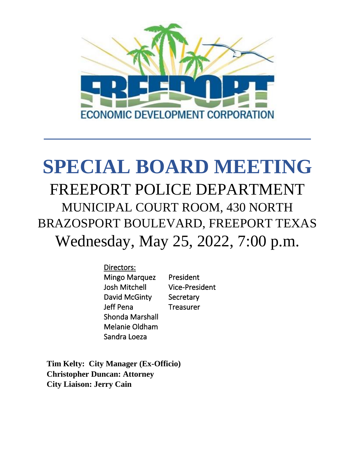

# **SPECIAL BOARD MEETING** FREEPORT POLICE DEPARTMENT MUNICIPAL COURT ROOM, 430 NORTH BRAZOSPORT BOULEVARD, FREEPORT TEXAS Wednesday, May 25, 2022, 7:00 p.m.

Directors: Mingo Marquez President Josh Mitchell Vice-President David McGinty Secretary Jeff Pena Treasurer Shonda Marshall Melanie Oldham Sandra Loeza

**Tim Kelty: City Manager (Ex-Officio) Christopher Duncan: Attorney City Liaison: Jerry Cain**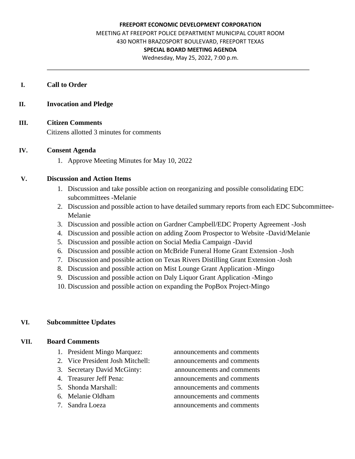#### **FREEPORT ECONOMIC DEVELOPMENT CORPORATION**

MEETING AT FREEPORT POLICE DEPARTMENT MUNICIPAL COURT ROOM 430 NORTH BRAZOSPORT BOULEVARD, FREEPORT TEXAS

#### **SPECIAL BOARD MEETING AGENDA**

Wednesday, May 25, 2022, 7:00 p.m.

#### **I. Call to Order**

#### **II. Invocation and Pledge**

## **III. Citizen Comments**

Citizens allotted 3 minutes for comments

#### **IV. Consent Agenda**

1. Approve Meeting Minutes for May 10, 2022

#### **V. Discussion and Action Items**

- 1. Discussion and take possible action on reorganizing and possible consolidating EDC subcommittees -Melanie
- 2. Discussion and possible action to have detailed summary reports from each EDC Subcommittee-Melanie
- 3. Discussion and possible action on Gardner Campbell/EDC Property Agreement -Josh
- 4. Discussion and possible action on adding Zoom Prospector to Website -David/Melanie
- 5. Discussion and possible action on Social Media Campaign -David
- 6. Discussion and possible action on McBride Funeral Home Grant Extension -Josh
- 7. Discussion and possible action on Texas Rivers Distilling Grant Extension -Josh
- 8. Discussion and possible action on Mist Lounge Grant Application -Mingo
- 9. Discussion and possible action on Daly Liquor Grant Application -Mingo
- 10. Discussion and possible action on expanding the PopBox Project-Mingo

#### **VI. Subcommittee Updates**

#### **VII. Board Comments**

- 1. President Mingo Marquez: announcements and comments
- 2. Vice President Josh Mitchell: announcements and comments
- 
- 
- 
- 
- 

3. Secretary David McGinty: announcements and comments 4. Treasurer Jeff Pena: announcements and comments 5. Shonda Marshall: announcements and comments 6. Melanie Oldham announcements and comments 7. Sandra Loeza announcements and comments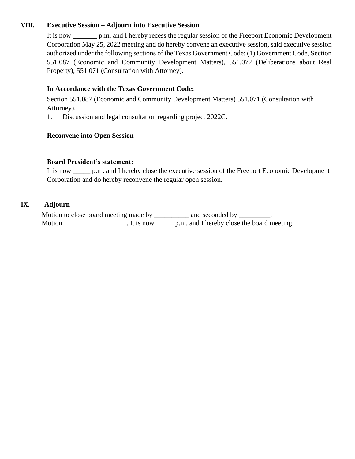### **VIII. Executive Session – Adjourn into Executive Session**

It is now \_\_\_\_\_\_\_ p.m. and I hereby recess the regular session of the Freeport Economic Development Corporation May 25, 2022 meeting and do hereby convene an executive session, said executive session authorized under the following sections of the Texas Government Code: (1) Government Code, Section 551.087 (Economic and Community Development Matters), 551.072 (Deliberations about Real Property), 551.071 (Consultation with Attorney).

### **In Accordance with the Texas Government Code:**

Section 551.087 (Economic and Community Development Matters) 551.071 (Consultation with Attorney).

1. Discussion and legal consultation regarding project 2022C.

#### **Reconvene into Open Session**

#### **Board President's statement:**

It is now \_\_\_\_\_ p.m. and I hereby close the executive session of the Freeport Economic Development Corporation and do hereby reconvene the regular open session.

### **IX. Adjourn**

Motion to close board meeting made by \_\_\_\_\_\_\_\_\_\_ and seconded by \_\_\_\_\_\_\_\_. Motion League League League League D. It is now League p.m. and I hereby close the board meeting.